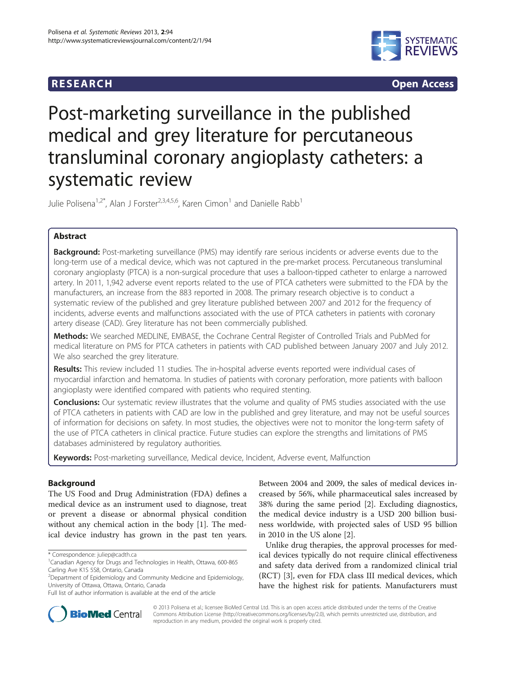# **RESEARCH RESEARCH CONSUMING ACCESS**



# Post-marketing surveillance in the published medical and grey literature for percutaneous transluminal coronary angioplasty catheters: a systematic review

Julie Polisena<sup>1,2\*</sup>, Alan J Forster<sup>2,3,4,5,6</sup>, Karen Cimon<sup>1</sup> and Danielle Rabb<sup>1</sup>

# Abstract

**Background:** Post-marketing surveillance (PMS) may identify rare serious incidents or adverse events due to the long-term use of a medical device, which was not captured in the pre-market process. Percutaneous transluminal coronary angioplasty (PTCA) is a non-surgical procedure that uses a balloon-tipped catheter to enlarge a narrowed artery. In 2011, 1,942 adverse event reports related to the use of PTCA catheters were submitted to the FDA by the manufacturers, an increase from the 883 reported in 2008. The primary research objective is to conduct a systematic review of the published and grey literature published between 2007 and 2012 for the frequency of incidents, adverse events and malfunctions associated with the use of PTCA catheters in patients with coronary artery disease (CAD). Grey literature has not been commercially published.

Methods: We searched MEDLINE, EMBASE, the Cochrane Central Register of Controlled Trials and PubMed for medical literature on PMS for PTCA catheters in patients with CAD published between January 2007 and July 2012. We also searched the grey literature.

Results: This review included 11 studies. The in-hospital adverse events reported were individual cases of myocardial infarction and hematoma. In studies of patients with coronary perforation, more patients with balloon angioplasty were identified compared with patients who required stenting.

**Conclusions:** Our systematic review illustrates that the volume and quality of PMS studies associated with the use of PTCA catheters in patients with CAD are low in the published and grey literature, and may not be useful sources of information for decisions on safety. In most studies, the objectives were not to monitor the long-term safety of the use of PTCA catheters in clinical practice. Future studies can explore the strengths and limitations of PMS databases administered by regulatory authorities.

Keywords: Post-marketing surveillance, Medical device, Incident, Adverse event, Malfunction

# Background

The US Food and Drug Administration (FDA) defines a medical device as an instrument used to diagnose, treat or prevent a disease or abnormal physical condition without any chemical action in the body [[1\]](#page-11-0). The medical device industry has grown in the past ten years.

Between 2004 and 2009, the sales of medical devices increased by 56%, while pharmaceutical sales increased by 38% during the same period [\[2](#page-11-0)]. Excluding diagnostics, the medical device industry is a USD 200 billion business worldwide, with projected sales of USD 95 billion in 2010 in the US alone [\[2\]](#page-11-0).

Unlike drug therapies, the approval processes for medical devices typically do not require clinical effectiveness and safety data derived from a randomized clinical trial (RCT) [[3\]](#page-11-0), even for FDA class III medical devices, which have the highest risk for patients. Manufacturers must



© 2013 Polisena et al.; licensee BioMed Central Ltd. This is an open access article distributed under the terms of the Creative Commons Attribution License [\(http://creativecommons.org/licenses/by/2.0\)](http://creativecommons.org/licenses/by/2.0), which permits unrestricted use, distribution, and reproduction in any medium, provided the original work is properly cited.

<sup>\*</sup> Correspondence: [juliep@cadth.ca](mailto:juliep@cadth.ca) <sup>1</sup>

<sup>&</sup>lt;sup>1</sup> Canadian Agency for Drugs and Technologies in Health, Ottawa, 600-865 Carling Ave K1S 5S8, Ontario, Canada

<sup>2</sup> Department of Epidemiology and Community Medicine and Epidemiology, University of Ottawa, Ottawa, Ontario, Canada

Full list of author information is available at the end of the article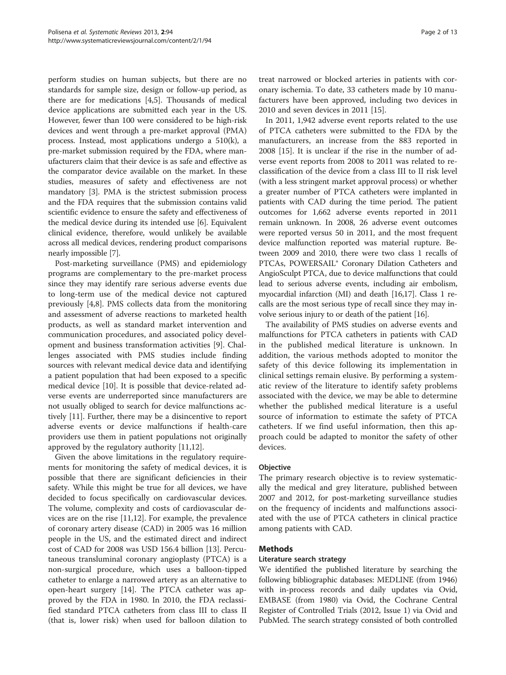perform studies on human subjects, but there are no standards for sample size, design or follow-up period, as there are for medications [[4,5\]](#page-11-0). Thousands of medical device applications are submitted each year in the US. However, fewer than 100 were considered to be high-risk devices and went through a pre-market approval (PMA) process. Instead, most applications undergo a 510(k), a pre-market submission required by the FDA, where manufacturers claim that their device is as safe and effective as the comparator device available on the market. In these studies, measures of safety and effectiveness are not mandatory [\[3](#page-11-0)]. PMA is the strictest submission process and the FDA requires that the submission contains valid scientific evidence to ensure the safety and effectiveness of the medical device during its intended use [\[6](#page-11-0)]. Equivalent clinical evidence, therefore, would unlikely be available across all medical devices, rendering product comparisons nearly impossible [[7\]](#page-11-0).

Post-marketing surveillance (PMS) and epidemiology programs are complementary to the pre-market process since they may identify rare serious adverse events due to long-term use of the medical device not captured previously [\[4,8](#page-11-0)]. PMS collects data from the monitoring and assessment of adverse reactions to marketed health products, as well as standard market intervention and communication procedures, and associated policy development and business transformation activities [\[9](#page-11-0)]. Challenges associated with PMS studies include finding sources with relevant medical device data and identifying a patient population that had been exposed to a specific medical device [[10\]](#page-11-0). It is possible that device-related adverse events are underreported since manufacturers are not usually obliged to search for device malfunctions actively [[11](#page-11-0)]. Further, there may be a disincentive to report adverse events or device malfunctions if health-care providers use them in patient populations not originally approved by the regulatory authority [\[11,12\]](#page-11-0).

Given the above limitations in the regulatory requirements for monitoring the safety of medical devices, it is possible that there are significant deficiencies in their safety. While this might be true for all devices, we have decided to focus specifically on cardiovascular devices. The volume, complexity and costs of cardiovascular devices are on the rise [[11,12\]](#page-11-0). For example, the prevalence of coronary artery disease (CAD) in 2005 was 16 million people in the US, and the estimated direct and indirect cost of CAD for 2008 was USD 156.4 billion [[13](#page-11-0)]. Percutaneous transluminal coronary angioplasty (PTCA) is a non-surgical procedure, which uses a balloon-tipped catheter to enlarge a narrowed artery as an alternative to open-heart surgery [\[14](#page-11-0)]. The PTCA catheter was approved by the FDA in 1980. In 2010, the FDA reclassified standard PTCA catheters from class III to class II (that is, lower risk) when used for balloon dilation to

treat narrowed or blocked arteries in patients with coronary ischemia. To date, 33 catheters made by 10 manufacturers have been approved, including two devices in 2010 and seven devices in 2011 [[15\]](#page-11-0).

In 2011, 1,942 adverse event reports related to the use of PTCA catheters were submitted to the FDA by the manufacturers, an increase from the 883 reported in 2008 [\[15](#page-11-0)]. It is unclear if the rise in the number of adverse event reports from 2008 to 2011 was related to reclassification of the device from a class III to II risk level (with a less stringent market approval process) or whether a greater number of PTCA catheters were implanted in patients with CAD during the time period. The patient outcomes for 1,662 adverse events reported in 2011 remain unknown. In 2008, 26 adverse event outcomes were reported versus 50 in 2011, and the most frequent device malfunction reported was material rupture. Between 2009 and 2010, there were two class 1 recalls of PTCAs, POWERSAIL® Coronary Dilation Catheters and AngioSculpt PTCA, due to device malfunctions that could lead to serious adverse events, including air embolism, myocardial infarction (MI) and death [\[16,17](#page-11-0)]. Class 1 recalls are the most serious type of recall since they may involve serious injury to or death of the patient [\[16](#page-11-0)].

The availability of PMS studies on adverse events and malfunctions for PTCA catheters in patients with CAD in the published medical literature is unknown. In addition, the various methods adopted to monitor the safety of this device following its implementation in clinical settings remain elusive. By performing a systematic review of the literature to identify safety problems associated with the device, we may be able to determine whether the published medical literature is a useful source of information to estimate the safety of PTCA catheters. If we find useful information, then this approach could be adapted to monitor the safety of other devices.

# **Objective**

The primary research objective is to review systematically the medical and grey literature, published between 2007 and 2012, for post-marketing surveillance studies on the frequency of incidents and malfunctions associated with the use of PTCA catheters in clinical practice among patients with CAD.

# Methods

## Literature search strategy

We identified the published literature by searching the following bibliographic databases: MEDLINE (from 1946) with in-process records and daily updates via Ovid, EMBASE (from 1980) via Ovid, the Cochrane Central Register of Controlled Trials (2012, Issue 1) via Ovid and PubMed. The search strategy consisted of both controlled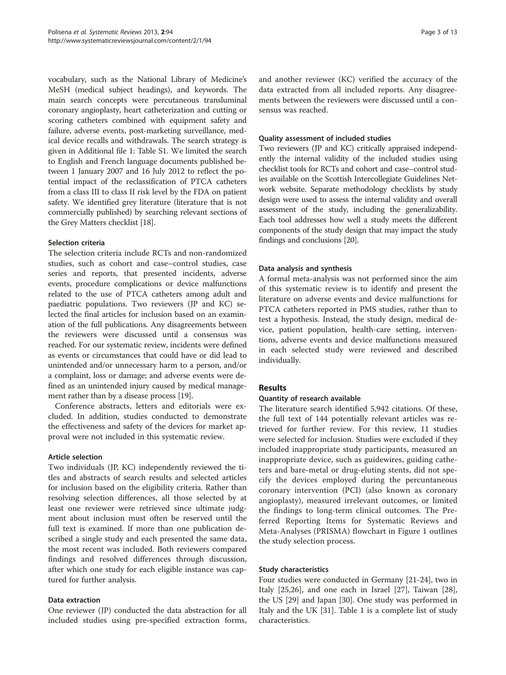vocabulary, such as the National Library of Medicine's MeSH (medical subject headings), and keywords. The main search concepts were percutaneous transluminal coronary angioplasty, heart catheterization and cutting or scoring catheters combined with equipment safety and failure, adverse events, post-marketing surveillance, medical device recalls and withdrawals. The search strategy is given in Additional file [1:](#page-10-0) Table S1. We limited the search to English and French language documents published between 1 January 2007 and 16 July 2012 to reflect the potential impact of the reclassification of PTCA catheters from a class III to class II risk level by the FDA on patient safety. We identified grey literature (literature that is not commercially published) by searching relevant sections of the Grey Matters checklist [\[18\]](#page-11-0).

# Selection criteria

The selection criteria include RCTs and non-randomized studies, such as cohort and case–control studies, case series and reports, that presented incidents, adverse events, procedure complications or device malfunctions related to the use of PTCA catheters among adult and paediatric populations. Two reviewers (JP and KC) selected the final articles for inclusion based on an examination of the full publications. Any disagreements between the reviewers were discussed until a consensus was reached. For our systematic review, incidents were defined as events or circumstances that could have or did lead to unintended and/or unnecessary harm to a person, and/or a complaint, loss or damage; and adverse events were defined as an unintended injury caused by medical management rather than by a disease process [[19](#page-11-0)].

Conference abstracts, letters and editorials were excluded. In addition, studies conducted to demonstrate the effectiveness and safety of the devices for market approval were not included in this systematic review.

# Article selection

Two individuals (JP, KC) independently reviewed the titles and abstracts of search results and selected articles for inclusion based on the eligibility criteria. Rather than resolving selection differences, all those selected by at least one reviewer were retrieved since ultimate judgment about inclusion must often be reserved until the full text is examined. If more than one publication described a single study and each presented the same data, the most recent was included. Both reviewers compared findings and resolved differences through discussion, after which one study for each eligible instance was captured for further analysis.

## Data extraction

One reviewer (JP) conducted the data abstraction for all included studies using pre-specified extraction forms, and another reviewer (KC) verified the accuracy of the data extracted from all included reports. Any disagreements between the reviewers were discussed until a consensus was reached.

# Quality assessment of included studies

Two reviewers (JP and KC) critically appraised independently the internal validity of the included studies using checklist tools for RCTs and cohort and case–control studies available on the Scottish Intercollegiate Guidelines Network website. Separate methodology checklists by study design were used to assess the internal validity and overall assessment of the study, including the generalizability. Each tool addresses how well a study meets the different components of the study design that may impact the study findings and conclusions [[20](#page-11-0)].

# Data analysis and synthesis

A formal meta-analysis was not performed since the aim of this systematic review is to identify and present the literature on adverse events and device malfunctions for PTCA catheters reported in PMS studies, rather than to test a hypothesis. Instead, the study design, medical device, patient population, health-care setting, interventions, adverse events and device malfunctions measured in each selected study were reviewed and described individually.

# Results

# Quantity of research available

The literature search identified 5,942 citations. Of these, the full text of 144 potentially relevant articles was retrieved for further review. For this review, 11 studies were selected for inclusion. Studies were excluded if they included inappropriate study participants, measured an inappropriate device, such as guidewires, guiding catheters and bare-metal or drug-eluting stents, did not specify the devices employed during the percuntaneous coronary intervention (PCI) (also known as coronary angioplasty), measured irrelevant outcomes, or limited the findings to long-term clinical outcomes. The Preferred Reporting Items for Systematic Reviews and Meta-Analyses (PRISMA) flowchart in Figure [1](#page-3-0) outlines the study selection process.

## Study characteristics

Four studies were conducted in Germany [[21-24](#page-11-0)], two in Italy [\[25,26](#page-11-0)], and one each in Israel [\[27\]](#page-11-0), Taiwan [\[28](#page-11-0)], the US [\[29](#page-11-0)] and Japan [\[30](#page-11-0)]. One study was performed in Italy and the UK [\[31](#page-11-0)]. Table [1](#page-4-0) is a complete list of study characteristics.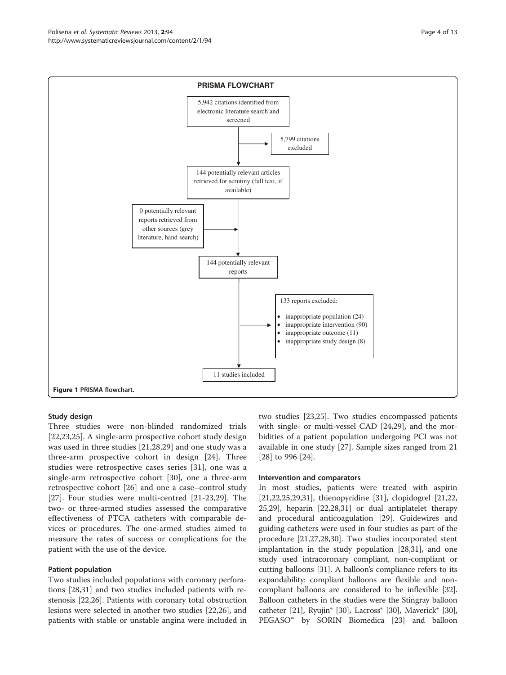<span id="page-3-0"></span>Polisena et al. Systematic Reviews 2013, 2:94 Page 4 of 13 http://www.systematicreviewsjournal.com/content/2/1/94



## Study design

Three studies were non-blinded randomized trials [[22,23,25](#page-11-0)]. A single-arm prospective cohort study design was used in three studies [[21](#page-11-0),[28,29\]](#page-11-0) and one study was a three-arm prospective cohort in design [[24\]](#page-11-0). Three studies were retrospective cases series [[31\]](#page-11-0), one was a single-arm retrospective cohort [[30\]](#page-11-0), one a three-arm retrospective cohort [\[26](#page-11-0)] and one a case–control study [[27\]](#page-11-0). Four studies were multi-centred [[21-23,29\]](#page-11-0). The two- or three-armed studies assessed the comparative effectiveness of PTCA catheters with comparable devices or procedures. The one-armed studies aimed to measure the rates of success or complications for the patient with the use of the device.

# Patient population

Two studies included populations with coronary perforations [[28,31\]](#page-11-0) and two studies included patients with restenosis [\[22,26\]](#page-11-0). Patients with coronary total obstruction lesions were selected in another two studies [\[22,26\]](#page-11-0), and patients with stable or unstable angina were included in two studies [\[23,25\]](#page-11-0). Two studies encompassed patients with single- or multi-vessel CAD [\[24,29](#page-11-0)], and the morbidities of a patient population undergoing PCI was not available in one study [[27\]](#page-11-0). Sample sizes ranged from 21 [[28\]](#page-11-0) to 996 [[24\]](#page-11-0).

#### Intervention and comparators

In most studies, patients were treated with aspirin [[21,22,25,29,31\]](#page-11-0), thienopyridine [\[31\]](#page-11-0), clopidogrel [[21](#page-11-0),[22](#page-11-0), [25,29](#page-11-0)], heparin [\[22,28,31\]](#page-11-0) or dual antiplatelet therapy and procedural anticoagulation [\[29](#page-11-0)]. Guidewires and guiding catheters were used in four studies as part of the procedure [\[21,27,28,30\]](#page-11-0). Two studies incorporated stent implantation in the study population [[28](#page-11-0),[31](#page-11-0)], and one study used intracoronary compliant, non-compliant or cutting balloons [\[31\]](#page-11-0). A balloon's compliance refers to its expandability: compliant balloons are flexible and noncompliant balloons are considered to be inflexible [[32](#page-12-0)]. Balloon catheters in the studies were the Stingray balloon catheter [\[21\]](#page-11-0), Ryujin® [[30](#page-11-0)], Lacross® [30], Maverick® [30], PEGASO<sup>™</sup> by SORIN Biomedica [\[23\]](#page-11-0) and balloon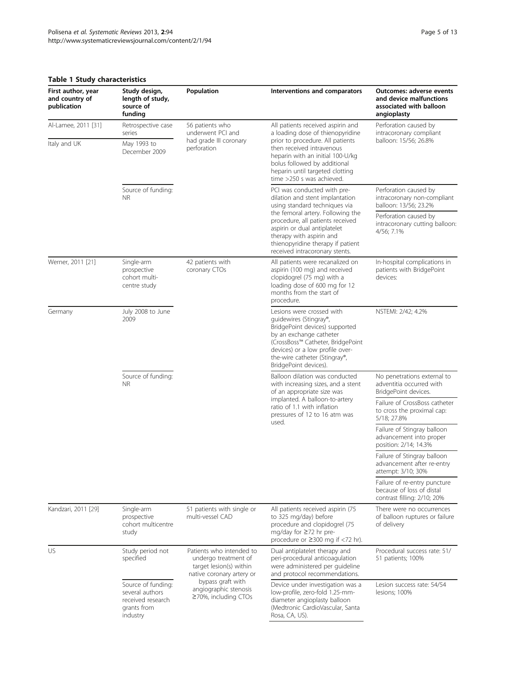# <span id="page-4-0"></span>Table 1 Study characteristics

| First author, year<br>and country of<br>publication | Study design,<br>length of study,<br>source of<br>funding                             | Population                                                                                                                                                                           | Interventions and comparators                                                                                                                                                                                                                                                                               | <b>Outcomes: adverse events</b><br>and device malfunctions<br>associated with balloon<br>angioplasty |
|-----------------------------------------------------|---------------------------------------------------------------------------------------|--------------------------------------------------------------------------------------------------------------------------------------------------------------------------------------|-------------------------------------------------------------------------------------------------------------------------------------------------------------------------------------------------------------------------------------------------------------------------------------------------------------|------------------------------------------------------------------------------------------------------|
| Al-Lamee, 2011 [31]<br>Italy and UK                 | Retrospective case<br>series<br>May 1993 to<br>December 2009                          | 56 patients who<br>underwent PCI and<br>had grade III coronary<br>perforation                                                                                                        | All patients received aspirin and<br>a loading dose of thienopyridine<br>prior to procedure. All patients<br>then received intravenous<br>heparin with an initial 100-U/kg<br>bolus followed by additional<br>heparin until targeted clotting<br>time >250 s was achieved.                                  | Perforation caused by<br>intracoronary compliant<br>balloon: 15/56; 26.8%                            |
|                                                     | Source of funding:<br><b>NR</b>                                                       |                                                                                                                                                                                      | PCI was conducted with pre-<br>dilation and stent implantation<br>using standard techniques via<br>the femoral artery. Following the<br>procedure, all patients received<br>aspirin or dual antiplatelet<br>therapy with aspirin and<br>thienopyridine therapy if patient<br>received intracoronary stents. | Perforation caused by<br>intracoronary non-compliant<br>balloon: 13/56; 23.2%                        |
|                                                     |                                                                                       |                                                                                                                                                                                      |                                                                                                                                                                                                                                                                                                             | Perforation caused by<br>intracoronary cutting balloon:<br>4/56; 7.1%                                |
| Werner, 2011 [21]                                   | Single-arm<br>prospective<br>cohort multi-<br>centre study                            | 42 patients with<br>coronary CTOs                                                                                                                                                    | All patients were recanalized on<br>aspirin (100 mg) and received<br>clopidogrel (75 mg) with a<br>loading dose of 600 mg for 12<br>months from the start of<br>procedure.                                                                                                                                  | In-hospital complications in<br>patients with BridgePoint<br>devices:                                |
| Germany                                             | July 2008 to June<br>2009                                                             |                                                                                                                                                                                      | Lesions were crossed with<br>guidewires (Stingray®,<br>BridgePoint devices) supported<br>by an exchange catheter<br>(CrossBoss™ Catheter, BridgePoint<br>devices) or a low profile over-<br>the-wire catheter (Stingray®,<br>BridgePoint devices).                                                          | NSTEMI: 2/42; 4.2%                                                                                   |
|                                                     | Source of funding:<br><b>NR</b>                                                       |                                                                                                                                                                                      | Balloon dilation was conducted<br>with increasing sizes, and a stent<br>of an appropriate size was<br>implanted. A balloon-to-artery<br>ratio of 1.1 with inflation<br>pressures of 12 to 16 atm was<br>used.                                                                                               | No penetrations external to<br>adventitia occurred with<br>BridgePoint devices.                      |
|                                                     |                                                                                       |                                                                                                                                                                                      |                                                                                                                                                                                                                                                                                                             | Failure of CrossBoss catheter<br>to cross the proximal cap:<br>5/18; 27.8%                           |
|                                                     |                                                                                       |                                                                                                                                                                                      |                                                                                                                                                                                                                                                                                                             | Failure of Stingray balloon<br>advancement into proper<br>position: 2/14; 14.3%                      |
|                                                     |                                                                                       |                                                                                                                                                                                      |                                                                                                                                                                                                                                                                                                             | Failure of Stingray balloon<br>advancement after re-entry<br>attempt: 3/10; 30%                      |
|                                                     |                                                                                       |                                                                                                                                                                                      |                                                                                                                                                                                                                                                                                                             | Failure of re-entry puncture<br>because of loss of distal<br>contrast filling: 2/10; 20%             |
| Kandzari, 2011 [29]                                 | Single-arm<br>prospective<br>cohort multicentre<br>study                              | 51 patients with single or<br>multi-vessel CAD                                                                                                                                       | All patients received aspirin (75<br>to 325 mg/day) before<br>procedure and clopidogrel (75<br>mg/day for ≥72 hr pre-<br>procedure or $\geq$ 300 mg if <72 hr).                                                                                                                                             | There were no occurrences<br>of balloon ruptures or failure<br>of delivery                           |
| US                                                  | Study period not<br>specified                                                         | Patients who intended to<br>undergo treatment of<br>target lesion(s) within<br>native coronary artery or<br>bypass graft with<br>angiographic stenosis<br>$\geq$ 70%, including CTOs | Dual antiplatelet therapy and<br>peri-procedural anticoagulation<br>were administered per quideline<br>and protocol recommendations.                                                                                                                                                                        | Procedural success rate: 51/<br>51 patients; 100%                                                    |
|                                                     | Source of funding:<br>several authors<br>received research<br>grants from<br>industry |                                                                                                                                                                                      | Device under investigation was a<br>low-profile, zero-fold 1.25-mm-<br>diameter angioplasty balloon<br>(Medtronic CardioVascular, Santa<br>Rosa, CA, US).                                                                                                                                                   | Lesion success rate: 54/54<br>lesions; 100%                                                          |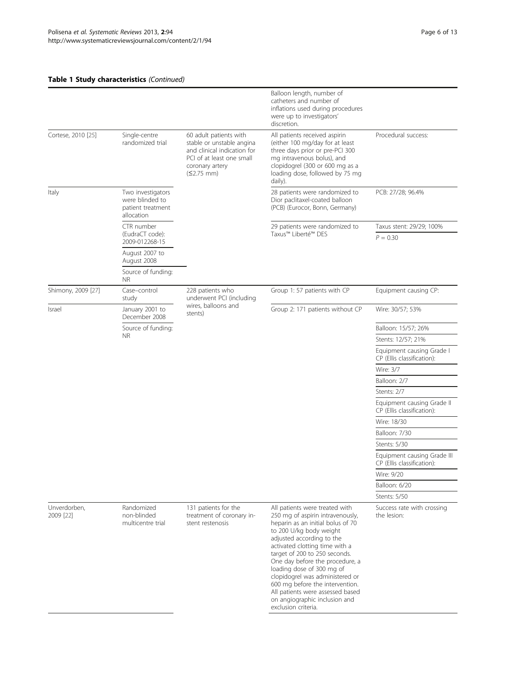# Table 1 Study characteristics (Continued)

|                           |                                                                         |                                                                                                                                                     | Balloon length, number of<br>catheters and number of<br>inflations used during procedures<br>were up to investigators'<br>discretion.                                                                                                                                                                                                                                                                                                                                |                                                           |
|---------------------------|-------------------------------------------------------------------------|-----------------------------------------------------------------------------------------------------------------------------------------------------|----------------------------------------------------------------------------------------------------------------------------------------------------------------------------------------------------------------------------------------------------------------------------------------------------------------------------------------------------------------------------------------------------------------------------------------------------------------------|-----------------------------------------------------------|
| Cortese, 2010 [25]        | Single-centre<br>randomized trial                                       | 60 adult patients with<br>stable or unstable angina<br>and clinical indication for<br>PCI of at least one small<br>coronary artery<br>$(52.75)$ mm) | All patients received aspirin<br>(either 100 mg/day for at least<br>three days prior or pre-PCI 300<br>mg intravenous bolus), and<br>clopidogrel (300 or 600 mg as a<br>loading dose, followed by 75 mg<br>daily).                                                                                                                                                                                                                                                   | Procedural success:                                       |
| Italy                     | Two investigators<br>were blinded to<br>patient treatment<br>allocation |                                                                                                                                                     | 28 patients were randomized to<br>Dior paclitaxel-coated balloon<br>(PCB) (Eurocor, Bonn, Germany)                                                                                                                                                                                                                                                                                                                                                                   | PCB: 27/28; 96.4%                                         |
|                           | CTR number<br>(EudraCT code):<br>2009-012268-15                         |                                                                                                                                                     | 29 patients were randomized to<br>Taxus™ Liberté™ DES                                                                                                                                                                                                                                                                                                                                                                                                                | Taxus stent: 29/29; 100%<br>$P = 0.30$                    |
|                           | August 2007 to<br>August 2008                                           |                                                                                                                                                     |                                                                                                                                                                                                                                                                                                                                                                                                                                                                      |                                                           |
|                           | Source of funding:<br>ΝR                                                |                                                                                                                                                     |                                                                                                                                                                                                                                                                                                                                                                                                                                                                      |                                                           |
| Shimony, 2009 [27]        | Case-control<br>study                                                   | 228 patients who<br>underwent PCI (including                                                                                                        | Group 1: 57 patients with CP                                                                                                                                                                                                                                                                                                                                                                                                                                         | Equipment causing CP:                                     |
| Israel                    | January 2001 to<br>December 2008                                        | wires, balloons and<br>stents)                                                                                                                      | Group 2: 171 patients without CP                                                                                                                                                                                                                                                                                                                                                                                                                                     | Wire: 30/57; 53%                                          |
|                           | Source of funding:                                                      |                                                                                                                                                     |                                                                                                                                                                                                                                                                                                                                                                                                                                                                      | Balloon: 15/57; 26%                                       |
|                           | NR.                                                                     |                                                                                                                                                     |                                                                                                                                                                                                                                                                                                                                                                                                                                                                      | Stents: 12/57; 21%                                        |
|                           |                                                                         |                                                                                                                                                     |                                                                                                                                                                                                                                                                                                                                                                                                                                                                      | Equipment causing Grade I<br>CP (Ellis classification):   |
|                           |                                                                         |                                                                                                                                                     |                                                                                                                                                                                                                                                                                                                                                                                                                                                                      | Wire: 3/7                                                 |
|                           |                                                                         |                                                                                                                                                     |                                                                                                                                                                                                                                                                                                                                                                                                                                                                      | Balloon: 2/7                                              |
|                           |                                                                         |                                                                                                                                                     |                                                                                                                                                                                                                                                                                                                                                                                                                                                                      | Stents: 2/7                                               |
|                           |                                                                         |                                                                                                                                                     |                                                                                                                                                                                                                                                                                                                                                                                                                                                                      | Equipment causing Grade II<br>CP (Ellis classification):  |
|                           |                                                                         |                                                                                                                                                     |                                                                                                                                                                                                                                                                                                                                                                                                                                                                      | Wire: 18/30                                               |
|                           |                                                                         |                                                                                                                                                     |                                                                                                                                                                                                                                                                                                                                                                                                                                                                      | Balloon: 7/30                                             |
|                           |                                                                         |                                                                                                                                                     |                                                                                                                                                                                                                                                                                                                                                                                                                                                                      | Stents: 5/30                                              |
|                           |                                                                         |                                                                                                                                                     |                                                                                                                                                                                                                                                                                                                                                                                                                                                                      | Equipment causing Grade III<br>CP (Ellis classification): |
|                           |                                                                         |                                                                                                                                                     |                                                                                                                                                                                                                                                                                                                                                                                                                                                                      | Wire: 9/20                                                |
|                           |                                                                         |                                                                                                                                                     |                                                                                                                                                                                                                                                                                                                                                                                                                                                                      | Balloon: 6/20                                             |
|                           |                                                                         |                                                                                                                                                     |                                                                                                                                                                                                                                                                                                                                                                                                                                                                      | Stents: 5/50                                              |
| Unverdorben,<br>2009 [22] | Randomized<br>non-blinded<br>multicentre trial                          | 131 patients for the<br>treatment of coronary in-<br>stent restenosis                                                                               | All patients were treated with<br>250 mg of aspirin intravenously,<br>heparin as an initial bolus of 70<br>to 200 U/kg body weight<br>adjusted according to the<br>activated clotting time with a<br>target of 200 to 250 seconds.<br>One day before the procedure, a<br>loading dose of 300 mg of<br>clopidogrel was administered or<br>600 mg before the intervention.<br>All patients were assessed based<br>on angiographic inclusion and<br>exclusion criteria. | Success rate with crossing<br>the lesion:                 |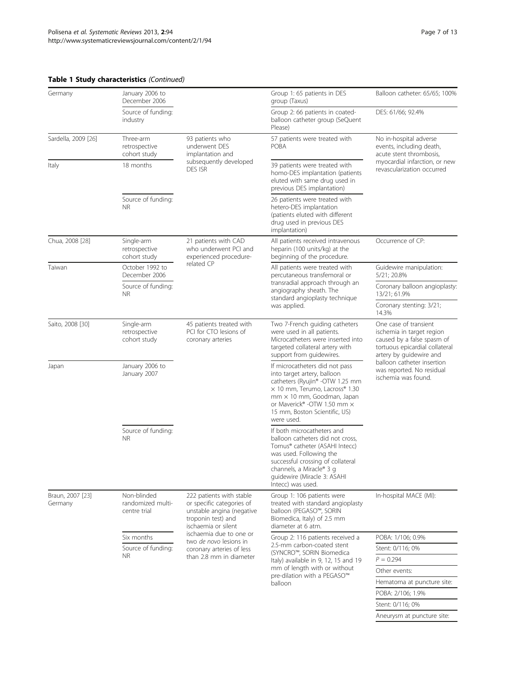| Germany                     | January 2006 to<br>December 2006                 |                                                                                                                                                                                                                                              | Group 1: 65 patients in DES<br>group (Taxus)                                                                                                                                                                                                      | Balloon catheter: 65/65; 100%                                                                                                                                                                                                   |
|-----------------------------|--------------------------------------------------|----------------------------------------------------------------------------------------------------------------------------------------------------------------------------------------------------------------------------------------------|---------------------------------------------------------------------------------------------------------------------------------------------------------------------------------------------------------------------------------------------------|---------------------------------------------------------------------------------------------------------------------------------------------------------------------------------------------------------------------------------|
|                             | Source of funding:<br>industry                   |                                                                                                                                                                                                                                              | Group 2: 66 patients in coated-<br>balloon catheter group (SeQuent<br>Please)                                                                                                                                                                     | DES: 61/66; 92.4%                                                                                                                                                                                                               |
| Sardella, 2009 [26]         | Three-arm<br>retrospective<br>cohort study       | 93 patients who<br>underwent DES<br>implantation and<br>subsequently developed<br>DES ISR                                                                                                                                                    | 57 patients were treated with<br>POBA                                                                                                                                                                                                             | No in-hospital adverse<br>events, including death,<br>acute stent thrombosis,<br>myocardial infarction, or new<br>revascularization occurred                                                                                    |
| Italy                       | 18 months                                        |                                                                                                                                                                                                                                              | 39 patients were treated with<br>homo-DES implantation (patients<br>eluted with same drug used in<br>previous DES implantation)                                                                                                                   |                                                                                                                                                                                                                                 |
|                             | Source of funding:<br><b>NR</b>                  |                                                                                                                                                                                                                                              | 26 patients were treated with<br>hetero-DES implantation<br>(patients eluted with different<br>drug used in previous DES<br>implantation)                                                                                                         |                                                                                                                                                                                                                                 |
| Chua, 2008 [28]             | Single-arm<br>retrospective<br>cohort study      | 21 patients with CAD<br>who underwent PCI and<br>experienced procedure-<br>related CP                                                                                                                                                        | All patients received intravenous<br>heparin (100 units/kg) at the<br>beginning of the procedure.                                                                                                                                                 | Occurrence of CP:                                                                                                                                                                                                               |
| Taiwan                      | October 1992 to<br>December 2006                 |                                                                                                                                                                                                                                              | All patients were treated with<br>percutaneous transfemoral or<br>transradial approach through an<br>angiography sheath. The<br>standard angioplasty technique<br>was applied.                                                                    | Guidewire manipulation:<br>5/21; 20.8%                                                                                                                                                                                          |
|                             | Source of funding:<br><b>NR</b>                  |                                                                                                                                                                                                                                              |                                                                                                                                                                                                                                                   | Coronary balloon angioplasty:<br>13/21; 61.9%                                                                                                                                                                                   |
|                             |                                                  |                                                                                                                                                                                                                                              |                                                                                                                                                                                                                                                   | Coronary stenting: 3/21;<br>14.3%                                                                                                                                                                                               |
| Saito, 2008 [30]            | Single-arm<br>retrospective<br>cohort study      | 45 patients treated with<br>PCI for CTO lesions of<br>coronary arteries                                                                                                                                                                      | Two 7-French guiding catheters<br>were used in all patients.<br>Microcatheters were inserted into<br>targeted collateral artery with<br>support from guidewires.                                                                                  | One case of transient<br>ischemia in target region<br>caused by a false spasm of<br>tortuous epicardial collateral<br>artery by guidewire and<br>balloon catheter insertion<br>was reported. No residual<br>ischemia was found. |
| Japan                       | January 2006 to<br>January 2007                  |                                                                                                                                                                                                                                              | If microcatheters did not pass<br>into target artery, balloon<br>catheters (Ryujin® -OTW 1.25 mm<br>× 10 mm, Terumo, Lacross® 1.30<br>mm × 10 mm, Goodman, Japan<br>or Maverick® -OTW 1.50 mm ×<br>15 mm, Boston Scientific, US)<br>were used.    |                                                                                                                                                                                                                                 |
|                             | Source of funding:<br><b>NR</b>                  |                                                                                                                                                                                                                                              | If both microcatheters and<br>balloon catheters did not cross.<br>Tornus® catheter (ASAHI Intecc)<br>was used. Following the<br>successful crossing of collateral<br>channels, a Miracle® 3 g<br>quidewire (Miracle 3: ASAHI<br>Intecc) was used. |                                                                                                                                                                                                                                 |
| Braun, 2007 [23]<br>Germany | Non-blinded<br>randomized multi-<br>centre trial | 222 patients with stable<br>or specific categories of<br>unstable angina (negative<br>troponin test) and<br>ischaemia or silent<br>ischaemia due to one or<br>two de novo lesions in<br>coronary arteries of less<br>than 2.8 mm in diameter | Group 1: 106 patients were<br>treated with standard angioplasty<br>balloon (PEGASO™, SORIN<br>Biomedica, Italy) of 2.5 mm<br>diameter at 6 atm.                                                                                                   | In-hospital MACE (MI):                                                                                                                                                                                                          |
|                             | Six months<br>Source of funding:<br>NR.          |                                                                                                                                                                                                                                              | Group 2: 116 patients received a<br>2.5-mm carbon-coated stent<br>(SYNCRO™, SORIN Biomedica<br>Italy) available in 9, 12, 15 and 19<br>mm of length with or without<br>pre-dilation with a PEGASO™<br>balloon                                     | POBA: 1/106; 0.9%                                                                                                                                                                                                               |
|                             |                                                  |                                                                                                                                                                                                                                              |                                                                                                                                                                                                                                                   | Stent: 0/116; 0%                                                                                                                                                                                                                |
|                             |                                                  |                                                                                                                                                                                                                                              |                                                                                                                                                                                                                                                   | $P = 0.294$                                                                                                                                                                                                                     |
|                             |                                                  |                                                                                                                                                                                                                                              |                                                                                                                                                                                                                                                   | Other events:                                                                                                                                                                                                                   |
|                             |                                                  |                                                                                                                                                                                                                                              |                                                                                                                                                                                                                                                   | Hematoma at puncture site:<br>POBA: 2/106; 1.9%                                                                                                                                                                                 |
|                             |                                                  |                                                                                                                                                                                                                                              |                                                                                                                                                                                                                                                   | Stent: 0/116; 0%                                                                                                                                                                                                                |
|                             |                                                  |                                                                                                                                                                                                                                              |                                                                                                                                                                                                                                                   | Aneurysm at puncture site:                                                                                                                                                                                                      |

# Table 1 Study characteristics (Continued)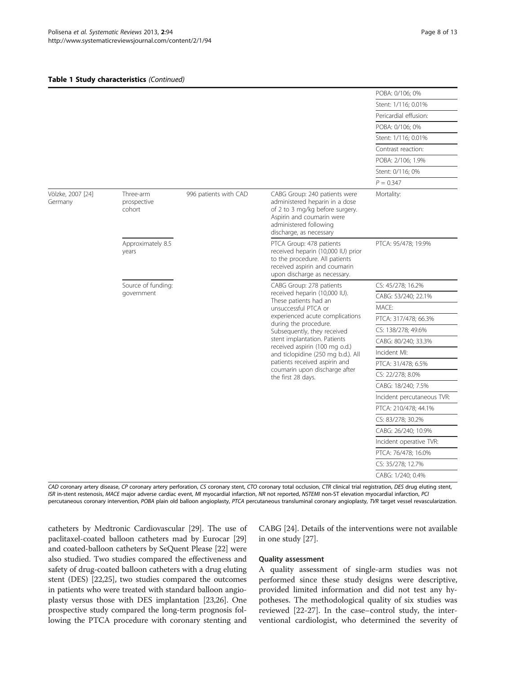#### Table 1 Study characteristics (Continued)

|                              |                                    |                       |                                                                                                                                                                                                                                                                                                                                                                           | POBA: 0/106; 0%            |
|------------------------------|------------------------------------|-----------------------|---------------------------------------------------------------------------------------------------------------------------------------------------------------------------------------------------------------------------------------------------------------------------------------------------------------------------------------------------------------------------|----------------------------|
|                              |                                    |                       |                                                                                                                                                                                                                                                                                                                                                                           | Stent: 1/116; 0.01%        |
|                              |                                    |                       |                                                                                                                                                                                                                                                                                                                                                                           | Pericardial effusion:      |
|                              |                                    |                       |                                                                                                                                                                                                                                                                                                                                                                           | POBA: 0/106; 0%            |
|                              |                                    |                       |                                                                                                                                                                                                                                                                                                                                                                           | Stent: 1/116; 0.01%        |
|                              |                                    |                       |                                                                                                                                                                                                                                                                                                                                                                           | Contrast reaction:         |
|                              |                                    |                       |                                                                                                                                                                                                                                                                                                                                                                           | POBA: 2/106; 1.9%          |
|                              |                                    |                       |                                                                                                                                                                                                                                                                                                                                                                           | Stent: 0/116; 0%           |
|                              |                                    |                       |                                                                                                                                                                                                                                                                                                                                                                           | $P = 0.347$                |
| Völzke, 2007 [24]<br>Germany | Three-arm<br>prospective<br>cohort | 996 patients with CAD | CABG Group: 240 patients were<br>administered heparin in a dose<br>of 2 to 3 mg/kg before surgery.<br>Aspirin and coumarin were<br>administered following<br>discharge, as necessary                                                                                                                                                                                      | Mortality:                 |
|                              | Approximately 8.5<br>years         |                       | PTCA Group: 478 patients<br>received heparin (10,000 IU) prior<br>to the procedure. All patients<br>received aspirin and coumarin<br>upon discharge as necessary.                                                                                                                                                                                                         | PTCA: 95/478; 19.9%        |
|                              | Source of funding:                 |                       | CABG Group: 278 patients                                                                                                                                                                                                                                                                                                                                                  | CS: 45/278; 16.2%          |
|                              | government                         |                       | received heparin (10,000 IU).<br>These patients had an<br>unsuccessful PTCA or<br>experienced acute complications<br>during the procedure.<br>Subsequently, they received<br>stent implantation. Patients<br>received aspirin (100 mg o.d.)<br>and ticlopidine (250 mg b.d.). All<br>patients received aspirin and<br>coumarin upon discharge after<br>the first 28 days. | CABG: 53/240; 22.1%        |
|                              |                                    |                       |                                                                                                                                                                                                                                                                                                                                                                           | MACE:                      |
|                              |                                    |                       |                                                                                                                                                                                                                                                                                                                                                                           | PTCA: 317/478; 66.3%       |
|                              |                                    |                       |                                                                                                                                                                                                                                                                                                                                                                           | CS: 138/278; 49.6%         |
|                              |                                    |                       |                                                                                                                                                                                                                                                                                                                                                                           | CABG: 80/240; 33.3%        |
|                              |                                    |                       |                                                                                                                                                                                                                                                                                                                                                                           | Incident MI:               |
|                              |                                    |                       |                                                                                                                                                                                                                                                                                                                                                                           | PTCA: 31/478; 6.5%         |
|                              |                                    |                       |                                                                                                                                                                                                                                                                                                                                                                           | CS: 22/278; 8.0%           |
|                              |                                    |                       |                                                                                                                                                                                                                                                                                                                                                                           | CABG: 18/240; 7.5%         |
|                              |                                    |                       |                                                                                                                                                                                                                                                                                                                                                                           | Incident percutaneous TVR: |
|                              |                                    |                       |                                                                                                                                                                                                                                                                                                                                                                           | PTCA: 210/478; 44.1%       |
|                              |                                    |                       |                                                                                                                                                                                                                                                                                                                                                                           | CS: 83/278; 30.2%          |
|                              |                                    |                       |                                                                                                                                                                                                                                                                                                                                                                           | CABG: 26/240; 10.9%        |
|                              |                                    |                       |                                                                                                                                                                                                                                                                                                                                                                           | Incident operative TVR:    |
|                              |                                    |                       |                                                                                                                                                                                                                                                                                                                                                                           | PTCA: 76/478; 16.0%        |
|                              |                                    |                       |                                                                                                                                                                                                                                                                                                                                                                           | CS: 35/278; 12.7%          |
|                              |                                    |                       |                                                                                                                                                                                                                                                                                                                                                                           | CABG: 1/240; 0.4%          |

CAD coronary artery disease, CP coronary artery perforation, CS coronary stent, CTO coronary total occlusion, CTR clinical trial registration, DES drug eluting stent, ISR in-stent restenosis, MACE major adverse cardiac event, MI myocardial infarction, NR not reported, NSTEMI non-ST elevation myocardial infarction, PCI percutaneous coronary intervention, POBA plain old balloon angioplasty, PTCA percutaneous transluminal coronary angioplasty, TVR target vessel revascularization.

catheters by Medtronic Cardiovascular [\[29\]](#page-11-0). The use of paclitaxel-coated balloon catheters mad by Eurocar [[29](#page-11-0)] and coated-balloon catheters by SeQuent Please [[22](#page-11-0)] were also studied. Two studies compared the effectiveness and safety of drug-coated balloon catheters with a drug eluting stent (DES) [[22,25](#page-11-0)], two studies compared the outcomes in patients who were treated with standard balloon angioplasty versus those with DES implantation [\[23,26\]](#page-11-0). One prospective study compared the long-term prognosis following the PTCA procedure with coronary stenting and

CABG [\[24\]](#page-11-0). Details of the interventions were not available in one study [[27](#page-11-0)].

### Quality assessment

A quality assessment of single-arm studies was not performed since these study designs were descriptive, provided limited information and did not test any hypotheses. The methodological quality of six studies was reviewed [[22](#page-11-0)-[27\]](#page-11-0). In the case–control study, the interventional cardiologist, who determined the severity of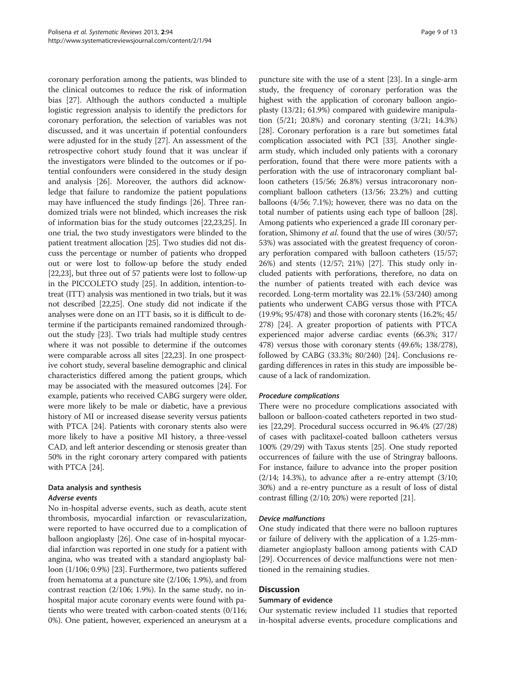coronary perforation among the patients, was blinded to the clinical outcomes to reduce the risk of information bias [[27\]](#page-11-0). Although the authors conducted a multiple logistic regression analysis to identify the predictors for coronary perforation, the selection of variables was not discussed, and it was uncertain if potential confounders were adjusted for in the study [\[27\]](#page-11-0). An assessment of the retrospective cohort study found that it was unclear if the investigators were blinded to the outcomes or if potential confounders were considered in the study design and analysis [[26](#page-11-0)]. Moreover, the authors did acknowledge that failure to randomize the patient populations may have influenced the study findings [[26\]](#page-11-0). Three randomized trials were not blinded, which increases the risk of information bias for the study outcomes [[22,23](#page-11-0),[25](#page-11-0)]. In one trial, the two study investigators were blinded to the patient treatment allocation [\[25\]](#page-11-0). Two studies did not discuss the percentage or number of patients who dropped out or were lost to follow-up before the study ended [[22,23](#page-11-0)], but three out of 57 patients were lost to follow-up in the PICCOLETO study [\[25\]](#page-11-0). In addition, intention-totreat (ITT) analysis was mentioned in two trials, but it was not described [[22,25](#page-11-0)]. One study did not indicate if the analyses were done on an ITT basis, so it is difficult to determine if the participants remained randomized throughout the study [\[23\]](#page-11-0). Two trials had multiple study centres where it was not possible to determine if the outcomes were comparable across all sites [\[22,23](#page-11-0)]. In one prospective cohort study, several baseline demographic and clinical characteristics differed among the patient groups, which may be associated with the measured outcomes [[24](#page-11-0)]. For example, patients who received CABG surgery were older, were more likely to be male or diabetic, have a previous history of MI or increased disease severity versus patients with PTCA [\[24\]](#page-11-0). Patients with coronary stents also were more likely to have a positive MI history, a three-vessel CAD, and left anterior descending or stenosis greater than 50% in the right coronary artery compared with patients with PTCA [[24\]](#page-11-0).

# Data analysis and synthesis Adverse events

No in-hospital adverse events, such as death, acute stent thrombosis, myocardial infarction or revascularization, were reported to have occurred due to a complication of balloon angioplasty [\[26\]](#page-11-0). One case of in-hospital myocardial infarction was reported in one study for a patient with angina, who was treated with a standard angioplasty balloon (1/106; 0.9%) [[23](#page-11-0)]. Furthermore, two patients suffered from hematoma at a puncture site (2/106; 1.9%), and from contrast reaction (2/106; 1.9%). In the same study, no inhospital major acute coronary events were found with patients who were treated with carbon-coated stents (0/116; 0%). One patient, however, experienced an aneurysm at a

puncture site with the use of a stent [[23](#page-11-0)]. In a single-arm study, the frequency of coronary perforation was the highest with the application of coronary balloon angioplasty (13/21; 61.9%) compared with guidewire manipulation (5/21; 20.8%) and coronary stenting (3/21; 14.3%) [[28](#page-11-0)]. Coronary perforation is a rare but sometimes fatal complication associated with PCI [[33](#page-12-0)]. Another singlearm study, which included only patients with a coronary perforation, found that there were more patients with a perforation with the use of intracoronary compliant balloon catheters (15/56; 26.8%) versus intracoronary noncompliant balloon catheters (13/56; 23.2%) and cutting balloons (4/56; 7.1%); however, there was no data on the total number of patients using each type of balloon [[28](#page-11-0)]. Among patients who experienced a grade III coronary perforation, Shimony et al. found that the use of wires (30/57; 53%) was associated with the greatest frequency of coronary perforation compared with balloon catheters (15/57; 26%) and stents (12/57; 21%) [[27](#page-11-0)]. This study only included patients with perforations, therefore, no data on the number of patients treated with each device was recorded. Long-term mortality was 22.1% (53/240) among patients who underwent CABG versus those with PTCA (19.9%; 95/478) and those with coronary stents (16.2%; 45/ 278) [\[24\]](#page-11-0). A greater proportion of patients with PTCA experienced major adverse cardiac events (66.3%; 317/ 478) versus those with coronary stents (49.6%; 138/278), followed by CABG (33.3%; 80/240) [[24](#page-11-0)]. Conclusions regarding differences in rates in this study are impossible because of a lack of randomization.

# Procedure complications

There were no procedure complications associated with balloon or balloon-coated catheters reported in two studies [[22,29](#page-11-0)]. Procedural success occurred in 96.4% (27/28) of cases with paclitaxel-coated balloon catheters versus 100% (29/29) with Taxus stents [[25\]](#page-11-0). One study reported occurrences of failure with the use of Stringray balloons. For instance, failure to advance into the proper position  $(2/14; 14.3%)$ , to advance after a re-entry attempt  $(3/10;$ 30%) and a re-entry puncture as a result of loss of distal contrast filling (2/10; 20%) were reported [\[21](#page-11-0)].

# Device malfunctions

One study indicated that there were no balloon ruptures or failure of delivery with the application of a 1.25-mmdiameter angioplasty balloon among patients with CAD [[29\]](#page-11-0). Occurrences of device malfunctions were not mentioned in the remaining studies.

# **Discussion**

# Summary of evidence

Our systematic review included 11 studies that reported in-hospital adverse events, procedure complications and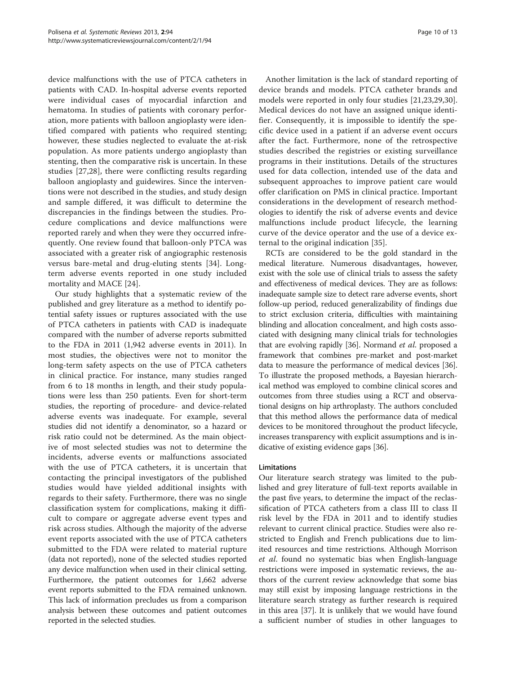device malfunctions with the use of PTCA catheters in patients with CAD. In-hospital adverse events reported were individual cases of myocardial infarction and hematoma. In studies of patients with coronary perforation, more patients with balloon angioplasty were identified compared with patients who required stenting; however, these studies neglected to evaluate the at-risk population. As more patients undergo angioplasty than stenting, then the comparative risk is uncertain. In these studies [\[27](#page-11-0),[28\]](#page-11-0), there were conflicting results regarding balloon angioplasty and guidewires. Since the interventions were not described in the studies, and study design and sample differed, it was difficult to determine the discrepancies in the findings between the studies. Procedure complications and device malfunctions were reported rarely and when they were they occurred infrequently. One review found that balloon-only PTCA was associated with a greater risk of angiographic restenosis versus bare-metal and drug-eluting stents [[34\]](#page-12-0). Longterm adverse events reported in one study included mortality and MACE [[24\]](#page-11-0).

Our study highlights that a systematic review of the published and grey literature as a method to identify potential safety issues or ruptures associated with the use of PTCA catheters in patients with CAD is inadequate compared with the number of adverse reports submitted to the FDA in 2011 (1,942 adverse events in 2011). In most studies, the objectives were not to monitor the long-term safety aspects on the use of PTCA catheters in clinical practice. For instance, many studies ranged from 6 to 18 months in length, and their study populations were less than 250 patients. Even for short-term studies, the reporting of procedure- and device-related adverse events was inadequate. For example, several studies did not identify a denominator, so a hazard or risk ratio could not be determined. As the main objective of most selected studies was not to determine the incidents, adverse events or malfunctions associated with the use of PTCA catheters, it is uncertain that contacting the principal investigators of the published studies would have yielded additional insights with regards to their safety. Furthermore, there was no single classification system for complications, making it difficult to compare or aggregate adverse event types and risk across studies. Although the majority of the adverse event reports associated with the use of PTCA catheters submitted to the FDA were related to material rupture (data not reported), none of the selected studies reported any device malfunction when used in their clinical setting. Furthermore, the patient outcomes for 1,662 adverse event reports submitted to the FDA remained unknown. This lack of information precludes us from a comparison analysis between these outcomes and patient outcomes reported in the selected studies.

Another limitation is the lack of standard reporting of device brands and models. PTCA catheter brands and models were reported in only four studies [\[21](#page-11-0),[23,29,30](#page-11-0)]. Medical devices do not have an assigned unique identifier. Consequently, it is impossible to identify the specific device used in a patient if an adverse event occurs after the fact. Furthermore, none of the retrospective studies described the registries or existing surveillance programs in their institutions. Details of the structures used for data collection, intended use of the data and subsequent approaches to improve patient care would offer clarification on PMS in clinical practice. Important considerations in the development of research methodologies to identify the risk of adverse events and device malfunctions include product lifecycle, the learning curve of the device operator and the use of a device external to the original indication [\[35](#page-12-0)].

RCTs are considered to be the gold standard in the medical literature. Numerous disadvantages, however, exist with the sole use of clinical trials to assess the safety and effectiveness of medical devices. They are as follows: inadequate sample size to detect rare adverse events, short follow-up period, reduced generalizability of findings due to strict exclusion criteria, difficulties with maintaining blinding and allocation concealment, and high costs associated with designing many clinical trials for technologies that are evolving rapidly [[36](#page-12-0)]. Normand et al. proposed a framework that combines pre-market and post-market data to measure the performance of medical devices [[36](#page-12-0)]. To illustrate the proposed methods, a Bayesian hierarchical method was employed to combine clinical scores and outcomes from three studies using a RCT and observational designs on hip arthroplasty. The authors concluded that this method allows the performance data of medical devices to be monitored throughout the product lifecycle, increases transparency with explicit assumptions and is indicative of existing evidence gaps [\[36](#page-12-0)].

## Limitations

Our literature search strategy was limited to the published and grey literature of full-text reports available in the past five years, to determine the impact of the reclassification of PTCA catheters from a class III to class II risk level by the FDA in 2011 and to identify studies relevant to current clinical practice. Studies were also restricted to English and French publications due to limited resources and time restrictions. Although Morrison et al. found no systematic bias when English-language restrictions were imposed in systematic reviews, the authors of the current review acknowledge that some bias may still exist by imposing language restrictions in the literature search strategy as further research is required in this area [\[37](#page-12-0)]. It is unlikely that we would have found a sufficient number of studies in other languages to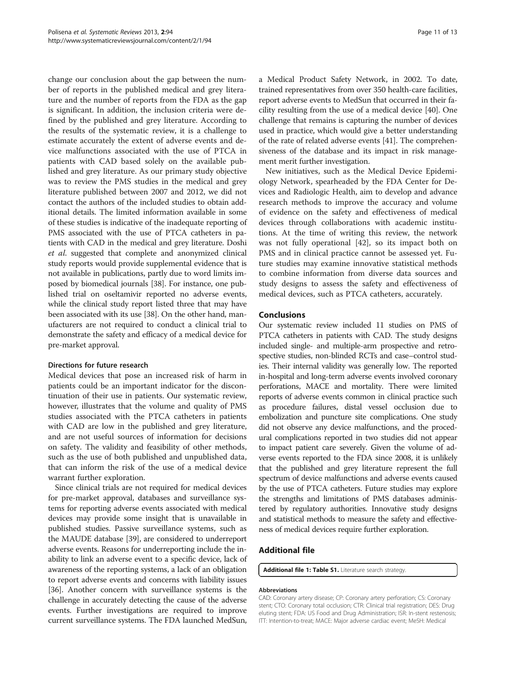<span id="page-10-0"></span>change our conclusion about the gap between the number of reports in the published medical and grey literature and the number of reports from the FDA as the gap is significant. In addition, the inclusion criteria were defined by the published and grey literature. According to the results of the systematic review, it is a challenge to estimate accurately the extent of adverse events and device malfunctions associated with the use of PTCA in patients with CAD based solely on the available published and grey literature. As our primary study objective was to review the PMS studies in the medical and grey literature published between 2007 and 2012, we did not contact the authors of the included studies to obtain additional details. The limited information available in some of these studies is indicative of the inadequate reporting of PMS associated with the use of PTCA catheters in patients with CAD in the medical and grey literature. Doshi et al. suggested that complete and anonymized clinical study reports would provide supplemental evidence that is not available in publications, partly due to word limits imposed by biomedical journals [[38](#page-12-0)]. For instance, one published trial on oseltamivir reported no adverse events, while the clinical study report listed three that may have been associated with its use [\[38](#page-12-0)]. On the other hand, manufacturers are not required to conduct a clinical trial to demonstrate the safety and efficacy of a medical device for pre-market approval.

## Directions for future research

Medical devices that pose an increased risk of harm in patients could be an important indicator for the discontinuation of their use in patients. Our systematic review, however, illustrates that the volume and quality of PMS studies associated with the PTCA catheters in patients with CAD are low in the published and grey literature, and are not useful sources of information for decisions on safety. The validity and feasibility of other methods, such as the use of both published and unpublished data, that can inform the risk of the use of a medical device warrant further exploration.

Since clinical trials are not required for medical devices for pre-market approval, databases and surveillance systems for reporting adverse events associated with medical devices may provide some insight that is unavailable in published studies. Passive surveillance systems, such as the MAUDE database [\[39\]](#page-12-0), are considered to underreport adverse events. Reasons for underreporting include the inability to link an adverse event to a specific device, lack of awareness of the reporting systems, a lack of an obligation to report adverse events and concerns with liability issues [[36](#page-12-0)]. Another concern with surveillance systems is the challenge in accurately detecting the cause of the adverse events. Further investigations are required to improve current surveillance systems. The FDA launched MedSun, a Medical Product Safety Network, in 2002. To date, trained representatives from over 350 health-care facilities, report adverse events to MedSun that occurred in their facility resulting from the use of a medical device [\[40](#page-12-0)]. One challenge that remains is capturing the number of devices used in practice, which would give a better understanding of the rate of related adverse events [\[41\]](#page-12-0). The comprehensiveness of the database and its impact in risk management merit further investigation.

New initiatives, such as the Medical Device Epidemiology Network, spearheaded by the FDA Center for Devices and Radiologic Health, aim to develop and advance research methods to improve the accuracy and volume of evidence on the safety and effectiveness of medical devices through collaborations with academic institutions. At the time of writing this review, the network was not fully operational [[42](#page-12-0)], so its impact both on PMS and in clinical practice cannot be assessed yet. Future studies may examine innovative statistical methods to combine information from diverse data sources and study designs to assess the safety and effectiveness of medical devices, such as PTCA catheters, accurately.

# Conclusions

Our systematic review included 11 studies on PMS of PTCA catheters in patients with CAD. The study designs included single- and multiple-arm prospective and retrospective studies, non-blinded RCTs and case–control studies. Their internal validity was generally low. The reported in-hospital and long-term adverse events involved coronary perforations, MACE and mortality. There were limited reports of adverse events common in clinical practice such as procedure failures, distal vessel occlusion due to embolization and puncture site complications. One study did not observe any device malfunctions, and the procedural complications reported in two studies did not appear to impact patient care severely. Given the volume of adverse events reported to the FDA since 2008, it is unlikely that the published and grey literature represent the full spectrum of device malfunctions and adverse events caused by the use of PTCA catheters. Future studies may explore the strengths and limitations of PMS databases administered by regulatory authorities. Innovative study designs and statistical methods to measure the safety and effectiveness of medical devices require further exploration.

# Additional file

[Additional file 1: Table S1.](http://www.biomedcentral.com/content/supplementary/2046-4053-2-94-S1.docx) Literature search strategy.

#### Abbreviations

CAD: Coronary artery disease; CP: Coronary artery perforation; CS: Coronary stent; CTO: Coronary total occlusion; CTR: Clinical trial registration; DES: Drug eluting stent; FDA: US Food and Drug Administration; ISR: In-stent restenosis; ITT: Intention-to-treat; MACE: Major adverse cardiac event; MeSH: Medical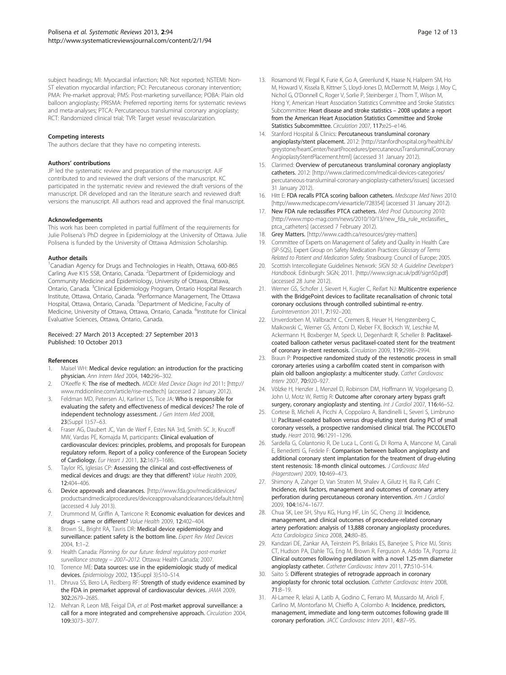<span id="page-11-0"></span>subject headings; MI: Myocardial infarction; NR: Not reported; NSTEMI: Non-ST elevation myocardial infarction; PCI: Percutaneous coronary intervention; PMA: Pre-market approval; PMS: Post-marketing surveillance; POBA: Plain old balloon angioplasty; PRISMA: Preferred reporting items for systematic reviews and meta-analyses; PTCA: Percutaneous transluminal coronary angioplasty; RCT: Randomized clinical trial; TVR: Target vessel revascularization.

#### Competing interests

The authors declare that they have no competing interests.

#### Authors' contributions

JP led the systematic review and preparation of the manuscript. AJF contributed to and reviewed the draft versions of the manuscript. KC participated in the systematic review and reviewed the draft versions of the manuscript. DR developed and ran the literature search and reviewed draft versions the manuscript. All authors read and approved the final manuscript.

#### Acknowledgements

This work has been completed in partial fulfilment of the requirements for Julie Polisena's PhD degree in Epidemiology at the University of Ottawa. Julie Polisena is funded by the University of Ottawa Admission Scholarship.

#### Author details

<sup>1</sup>Canadian Agency for Drugs and Technologies in Health, Ottawa, 600-865 Carling Ave K1S 5S8, Ontario, Canada. <sup>2</sup>Department of Epidemiology and Community Medicine and Epidemiology, University of Ottawa, Ottawa, Ontario, Canada. <sup>3</sup>Clinical Epidemiology Program, Ontario Hospital Research Institute, Ottawa, Ontario, Canada. <sup>4</sup> Performance Management, The Ottawa Hospital, Ottawa, Ontario, Canada. <sup>5</sup>Department of Medicine, Faculty of Medicine, University of Ottawa, Ottawa, Ontario, Canada. <sup>6</sup>Institute for Clinical Evaluative Sciences, Ottawa, Ontario, Canada.

#### Received: 27 March 2013 Accepted: 27 September 2013 Published: 10 October 2013

#### References

- Maisel WH: Medical device regulation: an introduction for the practicing physician. Ann Intern Med 2004, 140:296–302.
- 2. O'Keeffe K: The rise of medtech. MDDI: Med Device Diagn Ind 2011: [\[http://](http://www.mddionline.com/article/rise-medtech) [www.mddionline.com/article/rise-medtech\]](http://www.mddionline.com/article/rise-medtech) (accessed 2 January 2012).
- 3. Feldman MD, Petersen AJ, Karliner LS, Tice JA: Who is responsible for evaluating the safety and effectiveness of medical devices? The role of independent technology assessment. J Gen Intern Med 2008, 23(Suppl 1):57–63.
- 4. Fraser AG, Daubert JC, Van de Werf F, Estes NA 3rd, Smith SC Jr, Krucoff MW, Vardas PE, Komajda M, participants: Clinical evaluation of cardiovascular devices: principles, problems, and proposals for European regulatory reform. Report of a policy conference of the European Society of Cardiology. Eur Heart J 2011, 32:1673–1686.
- 5. Taylor RS, Iglesias CP: Assessing the clinical and cost-effectiveness of medical devices and drugs: are they that different? Value Health 2009, 12:404–406.
- 6. Device approvals and clearances. [[http://www.fda.gov/medicaldevices/](http://www.fda.gov/medicaldevices/productsandmedicalprocedures/deviceapprovalsandclearances/default.htm) [productsandmedicalprocedures/deviceapprovalsandclearances/default.htm](http://www.fda.gov/medicaldevices/productsandmedicalprocedures/deviceapprovalsandclearances/default.htm)] (accessed 4 July 2013).
- 7. Drummond M, Griffin A, Tarricone R: Economic evaluation for devices and drugs – same or different? Value Health 2009, 12:402–404.
- 8. Brown SL, Bright RA, Tavris DR: Medical device epidemiology and surveillance: patient safety is the bottom line. Expert Rev Med Devices 2004, 1:1–2.
- 9. Health Canada: Planning for our future: federal regulatory post-market surveillance strategy – 2007–2012. Ottawa: Health Canada; 2007.
- 10. Torrence ME: Data sources: use in the epidemiologic study of medical devices. Epidemiology 2002, 13(Suppl 3):S10-S14.
- 11. Dhruva SS, Bero LA, Redberg RF: Strength of study evidence examined by the FDA in premarket approval of cardiovascular devices. JAMA 2009, 302:2679–2685.
- 12. Mehran R, Leon MB, Feigal DA, et al: Post-market approval surveillance: a call for a more integrated and comprehensive approach. Circulation 2004, 109:3073–3077.
- 13. Rosamond W, Flegal K, Furie K, Go A, Greenlund K, Haase N, Hailpern SM, Ho M, Howard V, Kissela B, Kittner S, Lloyd-Jones D, McDermott M, Meigs J, Moy C, Nichol G, O'Donnell C, Roger V, Sorlie P, Steinberger J, Thom T, Wilson M, Hong Y, American Heart Association Statistics Committee and Stroke Statistics Subcommittee: Heart disease and stroke statistics – 2008 update: a report from the American Heart Association Statistics Committee and Stroke Statistics Subcommittee. Circulation 2007, 117:e25–e146.
- 14. Stanford Hospital & Clinics: Percutaneous transluminal coronary angioplasty/stent placement. 2012: [\[http://stanfordhospital.org/healthLib/](http://stanfordhospital.org/healthLib/greystone/heartCenter/heartProcedures/percutaneousTransluminalCoronaryAngioplastyStentPlacement.html) [greystone/heartCenter/heartProcedures/percutaneousTransluminalCoronary](http://stanfordhospital.org/healthLib/greystone/heartCenter/heartProcedures/percutaneousTransluminalCoronaryAngioplastyStentPlacement.html) [AngioplastyStentPlacement.html](http://stanfordhospital.org/healthLib/greystone/heartCenter/heartProcedures/percutaneousTransluminalCoronaryAngioplastyStentPlacement.html)] (accessed 31 January 2012).
- 15. Clarimed: Overview of percutaneous transluminal coronary angioplasty catheters. 2012: [\[http://www.clarimed.com/medical-devices-categories/](http://www.clarimed.com/medical-devices-categories/percutaneous-transluminal-coronary-angioplasty-catheters/issues) [percutaneous-transluminal-coronary-angioplasty-catheters/issues\]](http://www.clarimed.com/medical-devices-categories/percutaneous-transluminal-coronary-angioplasty-catheters/issues) (accessed 31 January 2012).
- 16. Hitt E: FDA recalls PTCA scoring balloon catheters. Medscape Med News 2010: [[http://www.medscape.com/viewarticle/728354\]](http://www.medscape.com/viewarticle/728354) (accessed 31 January 2012).
- 17. New FDA rule reclassifies PTCA catheters. Med Prod Outsourcing 2010: [[http://www.mpo-mag.com/news/2010/10/13/new\\_fda\\_rule\\_reclassifies\\_](http://www.mpo-mag.com/news/2010/10/13/new_fda_rule_reclassifies_ptca_catheters) [ptca\\_catheters](http://www.mpo-mag.com/news/2010/10/13/new_fda_rule_reclassifies_ptca_catheters)] (accessed 7 February 2012).
- 18. Grey Matters. [\[http://www.cadth.ca/resources/grey-matters](http://www.cadth.ca/resources/grey-matters)]
- 19. Committee of Experts on Management of Safety and Quality in Health Care (SP-SQS), Expert Group on Safety Medication Practices: Glossary of Terms Related to Patient and Medication Safety. Strasbourg: Council of Europe; 2005.
- 20. Scottish Intercollegiate Guidelines Network: SIGN 50: A Guideline Developer's Handbook. Edinburgh: SIGN; 2011. [\[http://www.sign.ac.uk/pdf/sign50.pdf\]](http://www.sign.ac.uk/pdf/sign50.pdf) (accessed 28 June 2012).
- 21. Werner GS, Schofer J, Sievert H, Kugler C, Reifart NJ: Multicentre experience with the BridgePoint devices to facilitate recanalisation of chronic total coronary occlusions through controlled subintimal re-entry. EuroIntervention 2011, 7:192–200.
- 22. Unverdorben M, Vallbracht C, Cremers B, Heuer H, Hengstenberg C, Maikowski C, Werner GS, Antoni D, Kleber FX, Bocksch W, Leschke M, Ackermann H, Boxberger M, Speck U, Degenhardt R, Scheller B: Paclitaxelcoated balloon catheter versus paclitaxel-coated stent for the treatment of coronary in-stent restenosis. Circulation 2009, 119:2986–2994.
- 23. Braun P: Prospective randomized study of the restenotic process in small coronary arteries using a carbofilm coated stent in comparison with plain old balloon angioplasty: a multicenter study. Cathet Cardiovasc Interv 2007, 70:920–927.
- 24. Völzke H, Henzler J, Menzel D, Robinson DM, Hoffmann W, Vogelgesang D, John U, Motz W, Rettig R: Outcome after coronary artery bypass graft surgery, coronary angioplasty and stenting. Int J Cardiol 2007, 116:46-52.
- 25. Cortese B, Micheli A, Picchi A, Coppolaro A, Bandinelli L, Severi S, Limbruno U: Paclitaxel-coated balloon versus drug-eluting stent during PCI of small coronary vessels, a prospective randomised clinical trial. The PICCOLETO study. Heart 2010, 96:1291–1296.
- 26. Sardella G, Colantonio R, De Luca L, Conti G, Di Roma A, Mancone M, Canali E, Benedetti G, Fedele F: Comparison between balloon angioplasty and additional coronary stent implantation for the treatment of drug-eluting stent restenosis: 18-month clinical outcomes. *J Cardiovasc Med* (Hagerstown) 2009, 10:469–473.
- 27. Shimony A, Zahger D, Van Straten M, Shalev A, Gilutz H, Ilia R, Cafri C: Incidence, risk factors, management and outcomes of coronary artery perforation during percutaneous coronary intervention. Am J Cardiol 2009, 104:1674–1677.
- 28. Chua SK, Lee SH, Shyu KG, Hung HF, Lin SC, Cheng JJ: Incidence, management, and clinical outcomes of procedure-related coronary artery perforation: analysis of 13,888 coronary angioplasty procedures. Acta Cardiologica Sinica 2008, 24:80–85.
- 29. Kandzari DE, Zankar AA, Teirstein PS, Brilakis ES, Banerjee S, Price MJ, Stinis CT, Hudson PA, Dahle TG, Eng M, Brown R, Ferguson A, Addo TA, Popma JJ: Clinical outcomes following predilation with a novel 1.25-mm diameter angioplasty catheter. Catheter Cardiovasc Interv 2011, 77:510–514.
- 30. Saito S: Different strategies of retrograde approach in coronary angioplasty for chronic total occlusion. Catheter Cardiovasc Interv 2008, 71:8–19.
- 31. Al-Lamee R, Ielasi A, Latib A, Godino C, Ferraro M, Mussardo M, Arioli F, Carlino M, Montorfano M, Chieffo A, Colombo A: Incidence, predictors, management, immediate and long-term outcomes following grade III coronary perforation. JACC Cardiovasc Interv 2011, 4:87–95.